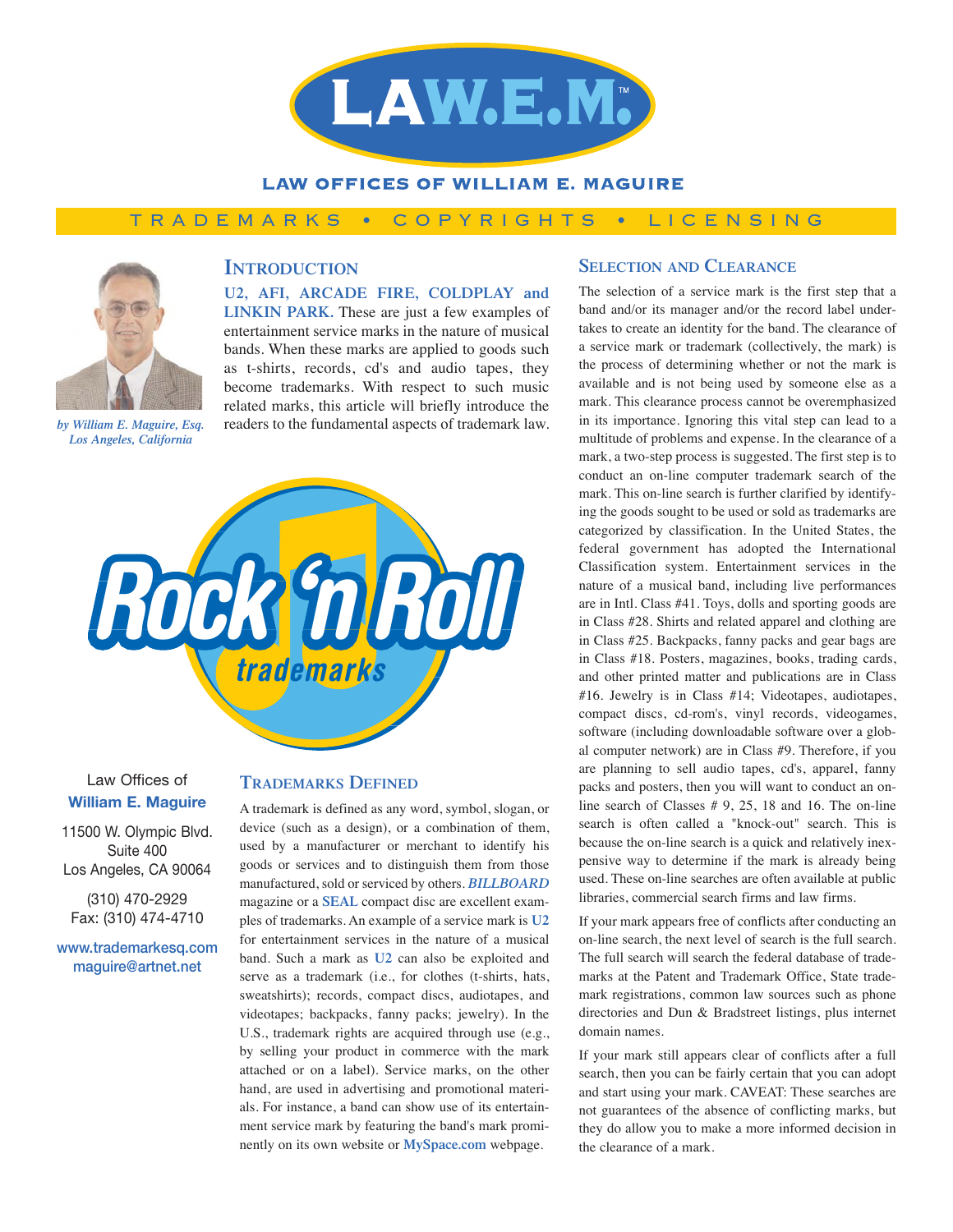

### **LAW OFFICES OF WILLIAM E. MAGUIRE**

## TRADEMARKS • COPYRIGHTS • LICENSING



# **INTRODUCTION**

**U2, AFI, ARCADE FIRE, COLDPLAY and LINKIN PARK.** These are just a few examples of entertainment service marks in the nature of musical bands. When these marks are applied to goods such as t-shirts, records, cd's and audio tapes, they become trademarks. With respect to such music related marks, this article will briefly introduce the readers to the fundamental aspects of trademark law.

*by William E. Maguire, Esq. Los Angeles, California*



Law Offices of **William E. Maguire**

11500 W. Olympic Blvd. Suite 400 Los Angeles, CA 90064

(310) 470-2929 Fax: (310) 474-4710

**www.trademarkesq.com maguire@artnet.net**

#### **TRADEMARKS DEFINED**

A trademark is defined as any word, symbol, slogan, or device (such as a design), or a combination of them, used by a manufacturer or merchant to identify his goods or services and to distinguish them from those manufactured, sold or serviced by others. *BILLBOARD* magazine or a **SEAL** compact disc are excellent examples of trademarks. An example of a service mark is **U2** for entertainment services in the nature of a musical band. Such a mark as **U2** can also be exploited and serve as a trademark (i.e., for clothes (t-shirts, hats, sweatshirts); records, compact discs, audiotapes, and videotapes; backpacks, fanny packs; jewelry). In the U.S., trademark rights are acquired through use (e.g., by selling your product in commerce with the mark attached or on a label). Service marks, on the other hand, are used in advertising and promotional materials. For instance, a band can show use of its entertainment service mark by featuring the band's mark prominently on its own website or **MySpace.com** webpage.

### **SELECTION AND CLEARANCE**

The selection of a service mark is the first step that a band and/or its manager and/or the record label undertakes to create an identity for the band. The clearance of a service mark or trademark (collectively, the mark) is the process of determining whether or not the mark is available and is not being used by someone else as a mark. This clearance process cannot be overemphasized in its importance. Ignoring this vital step can lead to a multitude of problems and expense. In the clearance of a mark, a two-step process is suggested. The first step is to conduct an on-line computer trademark search of the mark. This on-line search is further clarified by identifying the goods sought to be used or sold as trademarks are categorized by classification. In the United States, the federal government has adopted the International Classification system. Entertainment services in the nature of a musical band, including live performances are in Intl. Class #41. Toys, dolls and sporting goods are in Class #28. Shirts and related apparel and clothing are in Class #25. Backpacks, fanny packs and gear bags are in Class #18. Posters, magazines, books, trading cards, and other printed matter and publications are in Class #16. Jewelry is in Class #14; Videotapes, audiotapes, compact discs, cd-rom's, vinyl records, videogames, software (including downloadable software over a global computer network) are in Class #9. Therefore, if you are planning to sell audio tapes, cd's, apparel, fanny packs and posters, then you will want to conduct an online search of Classes # 9, 25, 18 and 16. The on-line search is often called a "knock-out" search. This is because the on-line search is a quick and relatively inexpensive way to determine if the mark is already being used. These on-line searches are often available at public libraries, commercial search firms and law firms.

If your mark appears free of conflicts after conducting an on-line search, the next level of search is the full search. The full search will search the federal database of trademarks at the Patent and Trademark Office, State trademark registrations, common law sources such as phone directories and Dun & Bradstreet listings, plus internet domain names.

If your mark still appears clear of conflicts after a full search, then you can be fairly certain that you can adopt and start using your mark. CAVEAT: These searches are not guarantees of the absence of conflicting marks, but they do allow you to make a more informed decision in the clearance of a mark.